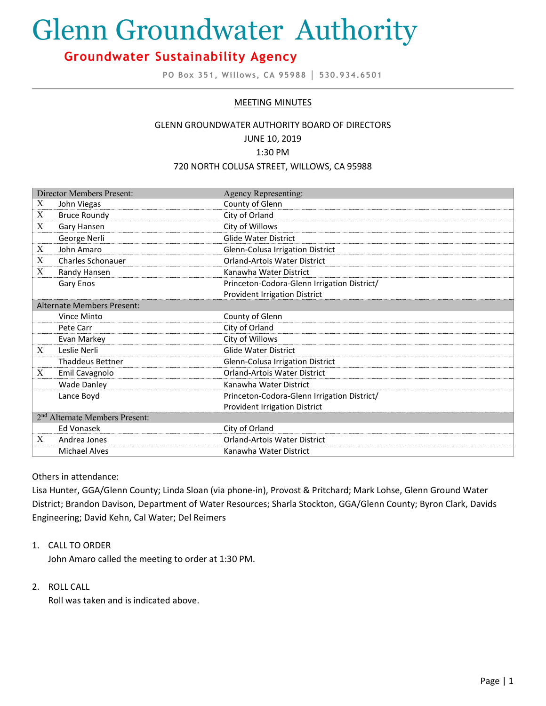# Glenn Groundwater Authority

# **Groundwater Sustainability Agency**

**PO Box 351, Willows, CA 95988 │ 530.934.6501**

# MEETING MINUTES

#### GLENN GROUNDWATER AUTHORITY BOARD OF DIRECTORS

JUNE 10, 2019

#### 1:30 PM

#### 720 NORTH COLUSA STREET, WILLOWS, CA 95988

| Director Members Present:                  |                         | <b>Agency Representing:</b>                 |
|--------------------------------------------|-------------------------|---------------------------------------------|
| X                                          | John Viegas             | County of Glenn                             |
| X                                          | <b>Bruce Roundy</b>     | City of Orland                              |
| X                                          | Gary Hansen             | City of Willows                             |
|                                            | George Nerli            | <b>Glide Water District</b>                 |
| X                                          | John Amaro              | Glenn-Colusa Irrigation District            |
| X                                          | Charles Schonauer       | <b>Orland-Artois Water District</b>         |
| X                                          | Randy Hansen            | Kanawha Water District                      |
|                                            | Gary Enos               | Princeton-Codora-Glenn Irrigation District/ |
|                                            |                         | <b>Provident Irrigation District</b>        |
| Alternate Members Present:                 |                         |                                             |
|                                            | Vince Minto             | County of Glenn                             |
|                                            | Pete Carr               | City of Orland                              |
|                                            | Evan Markey             | City of Willows                             |
| X                                          | Leslie Nerli            | <b>Glide Water District</b>                 |
|                                            | <b>Thaddeus Bettner</b> | Glenn-Colusa Irrigation District            |
| X                                          | Emil Cavagnolo          | <b>Orland-Artois Water District</b>         |
|                                            | <b>Wade Danley</b>      | Kanawha Water District                      |
|                                            | Lance Boyd              | Princeton-Codora-Glenn Irrigation District/ |
|                                            |                         | <b>Provident Irrigation District</b>        |
| 2 <sup>nd</sup> Alternate Members Present: |                         |                                             |
|                                            | Ed Vonasek              | City of Orland                              |
| X                                          | Andrea Jones            | <b>Orland-Artois Water District</b>         |
|                                            | <b>Michael Alves</b>    | Kanawha Water District                      |

### Others in attendance:

Lisa Hunter, GGA/Glenn County; Linda Sloan (via phone-in), Provost & Pritchard; Mark Lohse, Glenn Ground Water District; Brandon Davison, Department of Water Resources; Sharla Stockton, GGA/Glenn County; Byron Clark, Davids Engineering; David Kehn, Cal Water; Del Reimers

#### 1. CALL TO ORDER

John Amaro called the meeting to order at 1:30 PM.

#### 2. ROLL CALL

Roll was taken and is indicated above.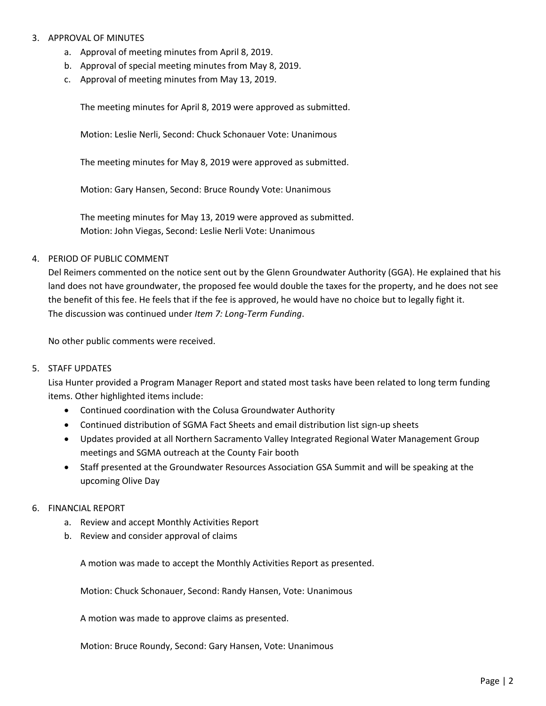# 3. APPROVAL OF MINUTES

- a. Approval of meeting minutes from April 8, 2019.
- b. Approval of special meeting minutes from May 8, 2019.
- c. Approval of meeting minutes from May 13, 2019.

The meeting minutes for April 8, 2019 were approved as submitted.

Motion: Leslie Nerli, Second: Chuck Schonauer Vote: Unanimous

The meeting minutes for May 8, 2019 were approved as submitted.

Motion: Gary Hansen, Second: Bruce Roundy Vote: Unanimous

The meeting minutes for May 13, 2019 were approved as submitted. Motion: John Viegas, Second: Leslie Nerli Vote: Unanimous

### 4. PERIOD OF PUBLIC COMMENT

Del Reimers commented on the notice sent out by the Glenn Groundwater Authority (GGA). He explained that his land does not have groundwater, the proposed fee would double the taxes for the property, and he does not see the benefit of this fee. He feels that if the fee is approved, he would have no choice but to legally fight it. The discussion was continued under *Item 7: Long-Term Funding*.

No other public comments were received.

#### 5. STAFF UPDATES

Lisa Hunter provided a Program Manager Report and stated most tasks have been related to long term funding items. Other highlighted items include:

- Continued coordination with the Colusa Groundwater Authority
- Continued distribution of SGMA Fact Sheets and email distribution list sign-up sheets
- Updates provided at all Northern Sacramento Valley Integrated Regional Water Management Group meetings and SGMA outreach at the County Fair booth
- Staff presented at the Groundwater Resources Association GSA Summit and will be speaking at the upcoming Olive Day

#### 6. FINANCIAL REPORT

- a. Review and accept Monthly Activities Report
- b. Review and consider approval of claims

A motion was made to accept the Monthly Activities Report as presented.

Motion: Chuck Schonauer, Second: Randy Hansen, Vote: Unanimous

A motion was made to approve claims as presented.

Motion: Bruce Roundy, Second: Gary Hansen, Vote: Unanimous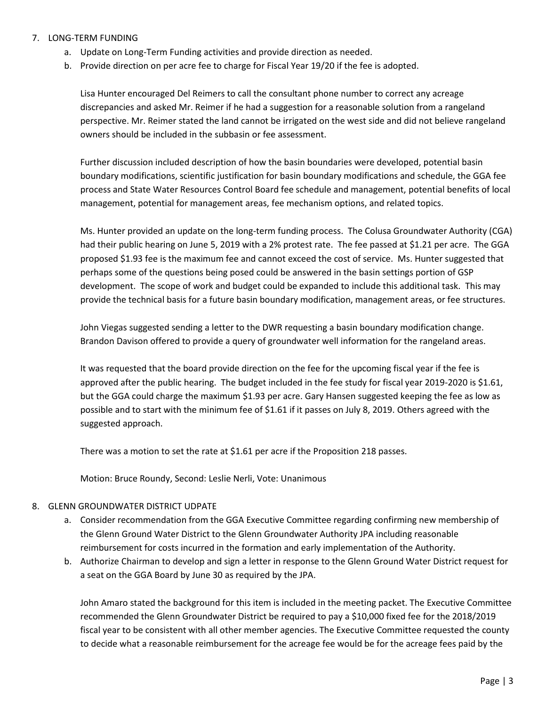- 7. LONG-TERM FUNDING
	- a. Update on Long-Term Funding activities and provide direction as needed.
	- b. Provide direction on per acre fee to charge for Fiscal Year 19/20 if the fee is adopted.

Lisa Hunter encouraged Del Reimers to call the consultant phone number to correct any acreage discrepancies and asked Mr. Reimer if he had a suggestion for a reasonable solution from a rangeland perspective. Mr. Reimer stated the land cannot be irrigated on the west side and did not believe rangeland owners should be included in the subbasin or fee assessment.

Further discussion included description of how the basin boundaries were developed, potential basin boundary modifications, scientific justification for basin boundary modifications and schedule, the GGA fee process and State Water Resources Control Board fee schedule and management, potential benefits of local management, potential for management areas, fee mechanism options, and related topics.

Ms. Hunter provided an update on the long-term funding process. The Colusa Groundwater Authority (CGA) had their public hearing on June 5, 2019 with a 2% protest rate. The fee passed at \$1.21 per acre. The GGA proposed \$1.93 fee is the maximum fee and cannot exceed the cost of service. Ms. Hunter suggested that perhaps some of the questions being posed could be answered in the basin settings portion of GSP development. The scope of work and budget could be expanded to include this additional task. This may provide the technical basis for a future basin boundary modification, management areas, or fee structures.

John Viegas suggested sending a letter to the DWR requesting a basin boundary modification change. Brandon Davison offered to provide a query of groundwater well information for the rangeland areas.

It was requested that the board provide direction on the fee for the upcoming fiscal year if the fee is approved after the public hearing. The budget included in the fee study for fiscal year 2019-2020 is \$1.61, but the GGA could charge the maximum \$1.93 per acre. Gary Hansen suggested keeping the fee as low as possible and to start with the minimum fee of \$1.61 if it passes on July 8, 2019. Others agreed with the suggested approach.

There was a motion to set the rate at \$1.61 per acre if the Proposition 218 passes.

Motion: Bruce Roundy, Second: Leslie Nerli, Vote: Unanimous

# 8. GLENN GROUNDWATER DISTRICT UDPATE

- a. Consider recommendation from the GGA Executive Committee regarding confirming new membership of the Glenn Ground Water District to the Glenn Groundwater Authority JPA including reasonable reimbursement for costs incurred in the formation and early implementation of the Authority.
- b. Authorize Chairman to develop and sign a letter in response to the Glenn Ground Water District request for a seat on the GGA Board by June 30 as required by the JPA.

John Amaro stated the background for this item is included in the meeting packet. The Executive Committee recommended the Glenn Groundwater District be required to pay a \$10,000 fixed fee for the 2018/2019 fiscal year to be consistent with all other member agencies. The Executive Committee requested the county to decide what a reasonable reimbursement for the acreage fee would be for the acreage fees paid by the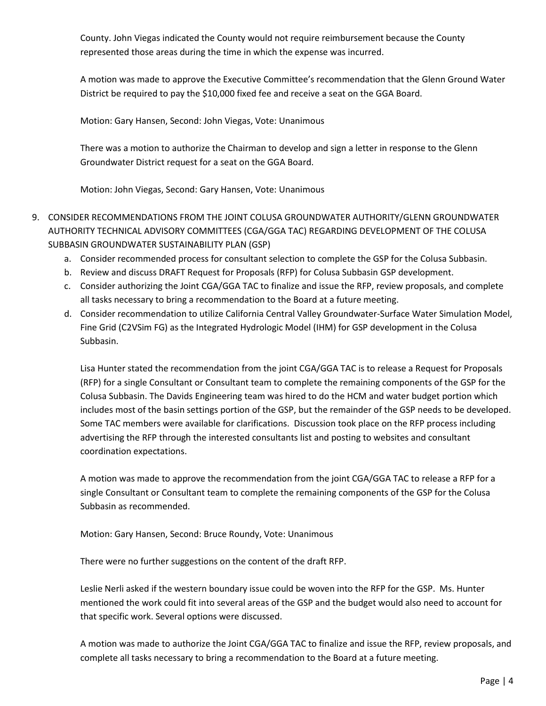County. John Viegas indicated the County would not require reimbursement because the County represented those areas during the time in which the expense was incurred.

A motion was made to approve the Executive Committee's recommendation that the Glenn Ground Water District be required to pay the \$10,000 fixed fee and receive a seat on the GGA Board.

Motion: Gary Hansen, Second: John Viegas, Vote: Unanimous

There was a motion to authorize the Chairman to develop and sign a letter in response to the Glenn Groundwater District request for a seat on the GGA Board.

Motion: John Viegas, Second: Gary Hansen, Vote: Unanimous

- 9. CONSIDER RECOMMENDATIONS FROM THE JOINT COLUSA GROUNDWATER AUTHORITY/GLENN GROUNDWATER AUTHORITY TECHNICAL ADVISORY COMMITTEES (CGA/GGA TAC) REGARDING DEVELOPMENT OF THE COLUSA SUBBASIN GROUNDWATER SUSTAINABILITY PLAN (GSP)
	- a. Consider recommended process for consultant selection to complete the GSP for the Colusa Subbasin.
	- b. Review and discuss DRAFT Request for Proposals (RFP) for Colusa Subbasin GSP development.
	- c. Consider authorizing the Joint CGA/GGA TAC to finalize and issue the RFP, review proposals, and complete all tasks necessary to bring a recommendation to the Board at a future meeting.
	- d. Consider recommendation to utilize California Central Valley Groundwater-Surface Water Simulation Model, Fine Grid (C2VSim FG) as the Integrated Hydrologic Model (IHM) for GSP development in the Colusa Subbasin.

Lisa Hunter stated the recommendation from the joint CGA/GGA TAC is to release a Request for Proposals (RFP) for a single Consultant or Consultant team to complete the remaining components of the GSP for the Colusa Subbasin. The Davids Engineering team was hired to do the HCM and water budget portion which includes most of the basin settings portion of the GSP, but the remainder of the GSP needs to be developed. Some TAC members were available for clarifications. Discussion took place on the RFP process including advertising the RFP through the interested consultants list and posting to websites and consultant coordination expectations.

A motion was made to approve the recommendation from the joint CGA/GGA TAC to release a RFP for a single Consultant or Consultant team to complete the remaining components of the GSP for the Colusa Subbasin as recommended.

Motion: Gary Hansen, Second: Bruce Roundy, Vote: Unanimous

There were no further suggestions on the content of the draft RFP.

Leslie Nerli asked if the western boundary issue could be woven into the RFP for the GSP. Ms. Hunter mentioned the work could fit into several areas of the GSP and the budget would also need to account for that specific work. Several options were discussed.

A motion was made to authorize the Joint CGA/GGA TAC to finalize and issue the RFP, review proposals, and complete all tasks necessary to bring a recommendation to the Board at a future meeting.